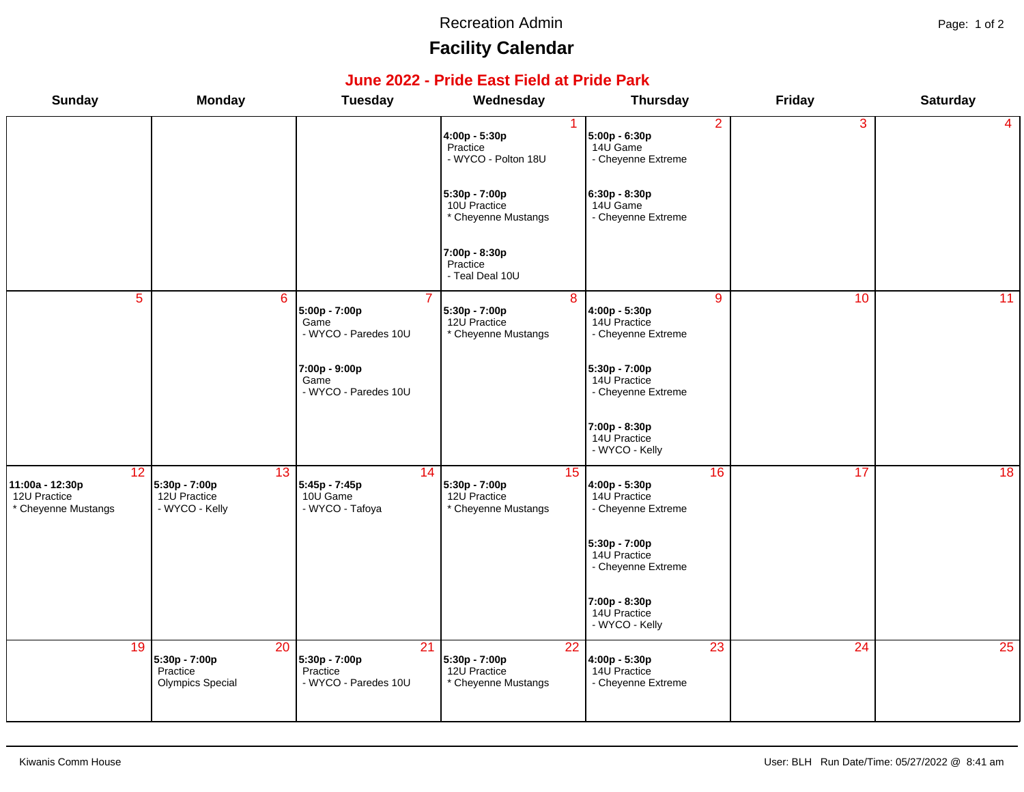#### Recreation Admin **Page: 1 of 2**

# **Facility Calendar**

### **June 2022 - Pride East Field at Pride Park**

| <b>Sunday</b>                                                             | <b>Monday</b>                                                           | <b>Tuesday</b>                                          | Wednesday                                                  | <b>Thursday</b>                                                        | Friday          | <b>Saturday</b> |
|---------------------------------------------------------------------------|-------------------------------------------------------------------------|---------------------------------------------------------|------------------------------------------------------------|------------------------------------------------------------------------|-----------------|-----------------|
|                                                                           |                                                                         |                                                         | 4:00p - 5:30p<br>Practice<br>- WYCO - Polton 18U           | $\overline{2}$<br>5:00p - 6:30p<br>14U Game<br>- Cheyenne Extreme      | $\overline{3}$  | 4               |
|                                                                           |                                                                         |                                                         | 5:30p - 7:00p<br>10U Practice<br>* Cheyenne Mustangs       | 6:30p - 8:30p<br>14U Game<br>- Cheyenne Extreme                        |                 |                 |
|                                                                           |                                                                         |                                                         | 7:00p - 8:30p<br>Practice<br>- Teal Deal 10U               |                                                                        |                 |                 |
| $\overline{5}$                                                            | 6                                                                       | 5:00p - 7:00p<br>Game<br>- WYCO - Paredes 10U           | 8<br>5:30p - 7:00p<br>12U Practice<br>* Cheyenne Mustangs  | $\overline{9}$<br>4:00p - 5:30p<br>14U Practice<br>- Cheyenne Extreme  | 10              | 11              |
|                                                                           |                                                                         | 7:00p - 9:00p<br>Game<br>- WYCO - Paredes 10U           |                                                            | 5:30p - 7:00p<br>14U Practice<br>- Cheyenne Extreme                    |                 |                 |
|                                                                           |                                                                         |                                                         |                                                            | 7:00p - 8:30p<br>14U Practice<br>- WYCO - Kelly                        |                 |                 |
| $\overline{12}$<br>11:00a - 12:30p<br>12U Practice<br>* Cheyenne Mustangs | 13<br>5:30p - 7:00p<br>12U Practice<br>- WYCO - Kelly                   | 14<br>5:45p - 7:45p<br>10U Game<br>- WYCO - Tafoya      | 15<br>5:30p - 7:00p<br>12U Practice<br>* Cheyenne Mustangs | 16<br>4:00p - 5:30p<br>14U Practice<br>- Cheyenne Extreme              | 17              | 18              |
|                                                                           |                                                                         |                                                         |                                                            | 5:30p - 7:00p<br>14U Practice<br>- Cheyenne Extreme                    |                 |                 |
|                                                                           |                                                                         |                                                         |                                                            | 7:00p - 8:30p<br>14U Practice<br>- WYCO - Kelly                        |                 |                 |
| 19                                                                        | $\overline{20}$<br>5:30p - 7:00p<br>Practice<br><b>Olympics Special</b> | 21<br>5:30p - 7:00p<br>Practice<br>- WYCO - Paredes 10U | 22<br>5:30p - 7:00p<br>12U Practice<br>* Cheyenne Mustangs | $\overline{23}$<br>4:00p - 5:30p<br>14U Practice<br>- Cheyenne Extreme | $\overline{24}$ | 25              |